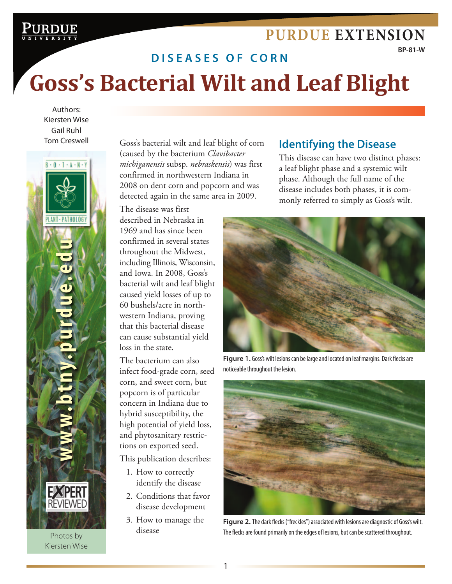## **[Purdue Extension](http://www.ag.purdue.edu/extension)**

**BP-81-W**

# **di s e a s e s o f c o r n Goss's Bacterial Wilt and Leaf Blight**

[Goss's Bacterial Wilt](http://www.purdue.edu/) and Leaf Blight **Purdue Extension**

Authors: Kiersten Wise Gail Ruhl Tom Creswell



Photos by Kiersten Wise

Goss's bacterial wilt and leaf blight of corn (caused by the bacterium *Clavibacter michiganensis* subsp. *nebraskensis*) was first confirmed in northwestern Indiana in 2008 on dent corn and popcorn and was detected again in the same area in 2009.

The disease was first described in Nebraska in 1969 and has since been confirmed in several states throughout the Midwest, including Illinois, Wisconsin, and Iowa. In 2008, Goss's bacterial wilt and leaf blight caused yield losses of up to 60 bushels/acre in northwestern Indiana, proving that this bacterial disease can cause substantial yield loss in the state.

The bacterium can also infect food-grade corn, seed corn, and sweet corn, but popcorn is of particular concern in Indiana due to hybrid susceptibility, the high potential of yield loss, and phytosanitary restrictions on exported seed.

This publication describes:

- 1. How to correctly identify the disease
- 2. Conditions that favor disease development
- 3. How to manage the disease

### **Identifying the Disease**

This disease can have two distinct phases: a leaf blight phase and a systemic wilt phase. Although the full name of the disease includes both phases, it is commonly referred to simply as Goss's wilt.



**Figure 1.** Goss's wilt lesions can be large and located on leaf margins. Dark flecks are noticeable throughout the lesion.



Figure 2. The dark flecks ("freckles") associated with lesions are diagnostic of Goss's wilt. The flecks are found primarily on the edges of lesions, but can be scattered throughout.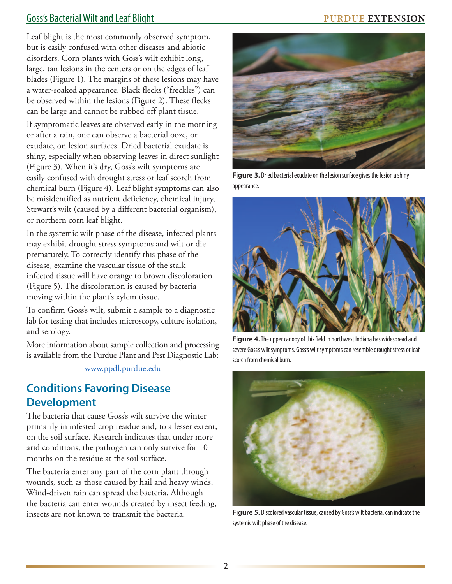### Goss's Bacterial Wilt and Leaf Blight **PURDUE EXTENSION**

Leaf blight is the most commonly observed symptom, but is easily confused with other diseases and abiotic disorders. Corn plants with Goss's wilt exhibit long, large, tan lesions in the centers or on the edges of leaf blades (Figure 1). The margins of these lesions may have a water-soaked appearance. Black flecks ("freckles") can be observed within the lesions (Figure 2). These flecks can be large and cannot be rubbed off plant tissue.

If symptomatic leaves are observed early in the morning or after a rain, one can observe a bacterial ooze, or exudate, on lesion surfaces. Dried bacterial exudate is shiny, especially when observing leaves in direct sunlight (Figure 3). When it's dry, Goss's wilt symptoms are easily confused with drought stress or leaf scorch from chemical burn (Figure 4). Leaf blight symptoms can also be misidentified as nutrient deficiency, chemical injury, Stewart's wilt (caused by a different bacterial organism), or northern corn leaf blight.

In the systemic wilt phase of the disease, infected plants may exhibit drought stress symptoms and wilt or die prematurely. To correctly identify this phase of the disease, examine the vascular tissue of the stalk infected tissue will have orange to brown discoloration (Figure 5). The discoloration is caused by bacteria moving within the plant's xylem tissue.

To confirm Goss's wilt, submit a sample to a diagnostic lab for testing that includes microscopy, culture isolation, and serology.

More information about sample collection and processing is available from the Purdue Plant and Pest Diagnostic Lab:

www.ppdl.purdue.edu

### **Conditions Favoring Disease Development**

The bacteria that cause Goss's wilt survive the winter primarily in infested crop residue and, to a lesser extent, on the soil surface. Research indicates that under more arid conditions, the pathogen can only survive for 10 months on the residue at the soil surface.

The bacteria enter any part of the corn plant through wounds, such as those caused by hail and heavy winds. Wind-driven rain can spread the bacteria. Although the bacteria can enter wounds created by insect feeding, insects are not known to transmit the bacteria.



**Figure 3.** Dried bacterial exudate on the lesion surface gives the lesion a shiny appearance.



**Figure 4.** The upper canopy of this field in northwest Indiana has widespread and severe Goss's wilt symptoms. Goss's wilt symptoms can resemble drought stress or leaf scorch from chemical burn.



**Figure 5.** Discolored vascular tissue, caused by Goss's wilt bacteria, can indicate the systemic wilt phase of the disease.